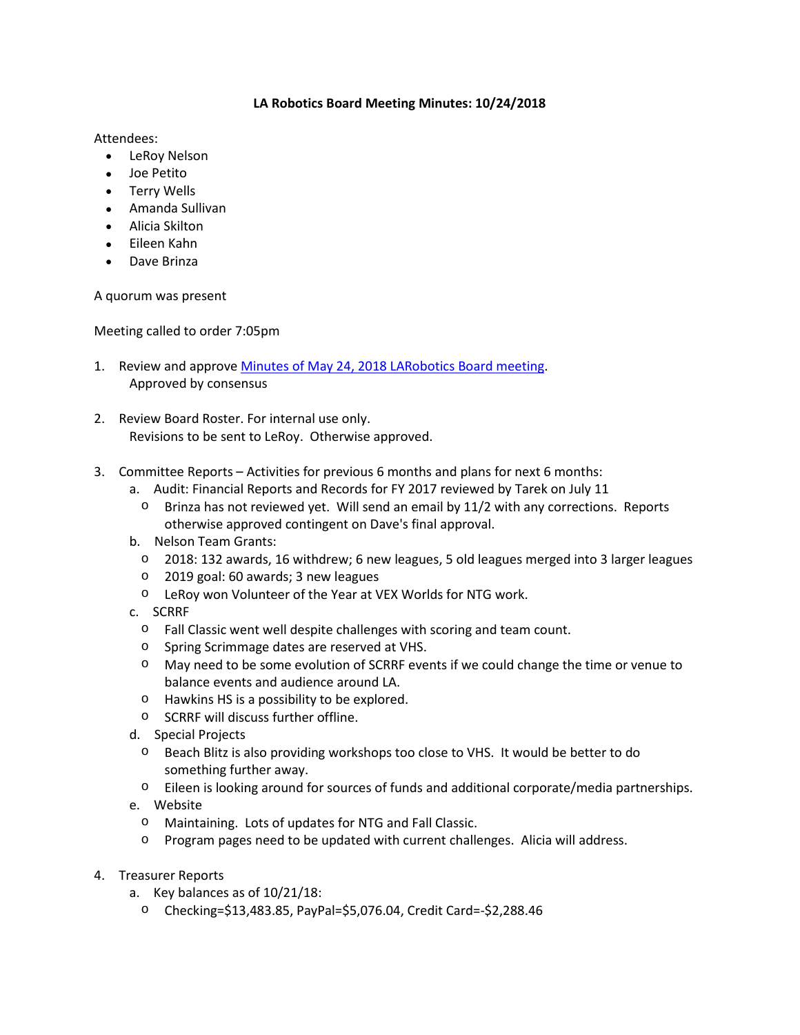## **LA Robotics Board Meeting Minutes: 10/24/2018**

## Attendees:

- LeRoy Nelson
- Joe Petito
- Terry Wells
- Amanda Sullivan
- Alicia Skilton
- Eileen Kahn
- Dave Brinza

A quorum was present

Meeting called to order 7:05pm

- 1. Review and approve Minutes of May 24, 2018 LARobotics Board meeting. Approved by consensus
- 2. Review Board Roster. For internal use only. Revisions to be sent to LeRoy. Otherwise approved.
- 3. Committee Reports Activities for previous 6 months and plans for next 6 months:
	- a. Audit: Financial Reports and Records for FY 2017 reviewed by Tarek on July 11
		- $\circ$  Brinza has not reviewed yet. Will send an email by 11/2 with any corrections. Reports otherwise approved contingent on Dave's final approval.
	- b. Nelson Team Grants:
		- o 2018: 132 awards, 16 withdrew; 6 new leagues, 5 old leagues merged into 3 larger leagues
		- o 2019 goal: 60 awards; 3 new leagues
		- o LeRoy won Volunteer of the Year at VEX Worlds for NTG work.
	- c. SCRRF
		- o Fall Classic went well despite challenges with scoring and team count.
		- o Spring Scrimmage dates are reserved at VHS.
		- o May need to be some evolution of SCRRF events if we could change the time or venue to balance events and audience around LA.
		- o Hawkins HS is a possibility to be explored.
		- o SCRRF will discuss further offline.
	- d. Special Projects
		- o Beach Blitz is also providing workshops too close to VHS. It would be better to do something further away.
		- $\circ$  Eileen is looking around for sources of funds and additional corporate/media partnerships.
	- e. Website
		- o Maintaining. Lots of updates for NTG and Fall Classic.
		- o Program pages need to be updated with current challenges. Alicia will address.
- 4. Treasurer Reports
	- a. Key balances as of 10/21/18:
		- o Checking=\$13,483.85, PayPal=\$5,076.04, Credit Card=-\$2,288.46